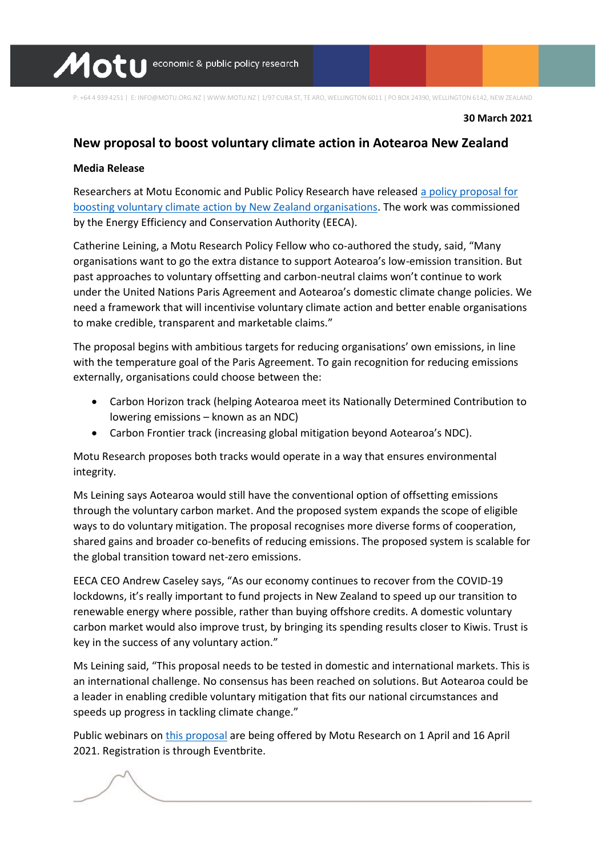

P: +64 4 939 4251 | E: INFO@MOTU.ORG.NZ | WWW.MOTU.NZ | 1/97 CUBA ST, TE ARO, WELLINGTON 6011 | PO BOX 24390, WELLINGTON 6142, NEW ZEALAND

**30 March 2021**

# **New proposal to boost voluntary climate action in Aotearoa New Zealand**

### **Media Release**

Researchers at Motu Economic and Public Policy Research have released [a policy proposal for](https://www.motu.nz/our-research/environment-and-resources/emission-mitigation/voluntary-mitigation-nz)  [boosting voluntary climate action by New Zealand organisations.](https://www.motu.nz/our-research/environment-and-resources/emission-mitigation/voluntary-mitigation-nz) The work was commissioned by the Energy Efficiency and Conservation Authority (EECA).

Catherine Leining, a Motu Research Policy Fellow who co-authored the study, said, "Many organisations want to go the extra distance to support Aotearoa's low-emission transition. But past approaches to voluntary offsetting and carbon-neutral claims won't continue to work under the United Nations Paris Agreement and Aotearoa's domestic climate change policies. We need a framework that will incentivise voluntary climate action and better enable organisations to make credible, transparent and marketable claims."

The proposal begins with ambitious targets for reducing organisations' own emissions, in line with the temperature goal of the Paris Agreement. To gain recognition for reducing emissions externally, organisations could choose between the:

- Carbon Horizon track (helping Aotearoa meet its Nationally Determined Contribution to lowering emissions – known as an NDC)
- Carbon Frontier track (increasing global mitigation beyond Aotearoa's NDC).

Motu Research proposes both tracks would operate in a way that ensures environmental integrity.

Ms Leining says Aotearoa would still have the conventional option of offsetting emissions through the voluntary carbon market. And the proposed system expands the scope of eligible ways to do voluntary mitigation. The proposal recognises more diverse forms of cooperation, shared gains and broader co-benefits of reducing emissions. The proposed system is scalable for the global transition toward net-zero emissions.

EECA CEO Andrew Caseley says, "As our economy continues to recover from the COVID-19 lockdowns, it's really important to fund projects in New Zealand to speed up our transition to renewable energy where possible, rather than buying offshore credits. A domestic voluntary carbon market would also improve trust, by bringing its spending results closer to Kiwis. Trust is key in the success of any voluntary action."

Ms Leining said, "This proposal needs to be tested in domestic and international markets. This is an international challenge. No consensus has been reached on solutions. But Aotearoa could be a leader in enabling credible voluntary mitigation that fits our national circumstances and speeds up progress in tackling climate change."

Public webinars o[n this proposal](https://www.motu.nz/our-research/environment-and-resources/emission-mitigation/voluntary-mitigation-nz) are being offered by Motu Research on 1 April and 16 April 2021. Registration is through Eventbrite.